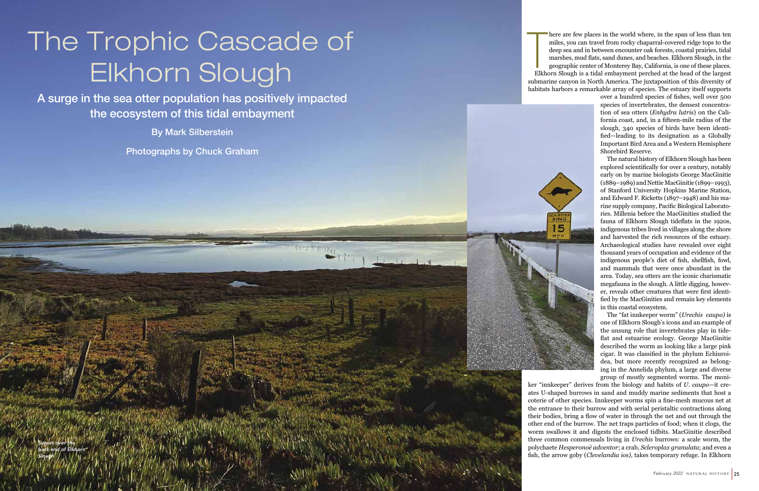here are few places in the world where, in the span of less than ten miles, you can travel from rocky chaparral-covered ridge tops to the deep sea and in between encounter oak forests, coastal prairies, tidal marshes, mud flats, sand dunes, and beaches. Elkhorn Slough, in the geographic center of Monterey Bay, California, is one of these places. Elkhorn Slough is a tidal embayment perched at the head of the largest submarine canyon in North America. The juxtaposition of this diversity of habitats harbors a remarkable array of species. The estuary itself supports

> over a hundred species of fishes, well over 500 species of invertebrates, the densest concentra tion of sea otters (*Enhydra lutris*) on the Cali fornia coast, and, in a fifteen-mile radius of the slough, 340 species of birds have been identi fied—leading to its designation as a Globally Important Bird Area and a Western Hemisphere Shorebird Reserve.

The Trophic Cascade of<br>
Elkhorn Slough<br>
<sup>A aug</sup>e in the sea other population has positively impacted<br>
The ecosystem of this biddistribution<br>
The ecosystem of this biddistribution<br>
The ecosystem of this biddistribution<br>
Pro The natural history of Elkhorn Slough has been explored scientifically for over a century, notably early on by marine biologists George MacGinitie (1889–1989) and Nettie MacGinitie (1899–1993), of Stanford University Hopkins Marine Station, and Edward F. Ricketts (1897–1948) and his ma rine supply company, Pacific Biological Laborato ries. Millenia before the MacGinities studied the fauna of Elkhorn Slough tideflats in the 1920s, indigenous tribes lived in villages along the shore and harvested the rich resources of the estuary. Archaeological studies have revealed over eight thousand years of occupation and evidence of the indigenous people's diet of fish, shellfish, fowl, and mammals that were once abundant in the area. Today, sea otters are the iconic charismatic megafauna in the slough. A little digging, howev er, reveals other creatures that were first identi fied by the MacGinities and remain key elements in this coastal ecosystem.

## The Trophic Cascade of Elkhorn Slough

The "fat innkeeper worm" (*Urechis caupo)* is one of Elkhorn Slough's icons and an example of the unsung role that invertebrates play in tide flat and estuarine ecology. George MacGinitie described the worm as looking like a large pink cigar. It was classified in the phylum Echiuroi dea, but more recently recognized as belong ing in the Annelida phylum, a large and diverse group of mostly segmented worms. The moni -

ker "innkeeper" derives from the biology and habits of *U. caupo*—it cre ates U-shaped burrows in sand and muddy marine sediments that host a coterie of other species. Innkeeper worms spin a fine-mesh mucous net at the entrance to their burrow and with serial peristaltic contractions along their bodies, bring a flow of water in through the net and out through the other end of the burrow. The net traps particles of food; when it clogs, the worm swallows it and digests the enclosed tidbits. MacGinitie described three common commensals living in *Urechis* burrows: a scale worm, the polychaete *Hesperonoë adventor*; a crab, *Scleroplax granulata*; and even a fish, the arrow goby (*Clevelandia ios),* takes temporary refuge. In Elkhorn

A surge in the sea otter population has positively impacted the ecosystem of this tidal embayment

By Mark Silberstein

Photographs by Chuck Graham

*Sunset over the back end of Elkhorn Slough*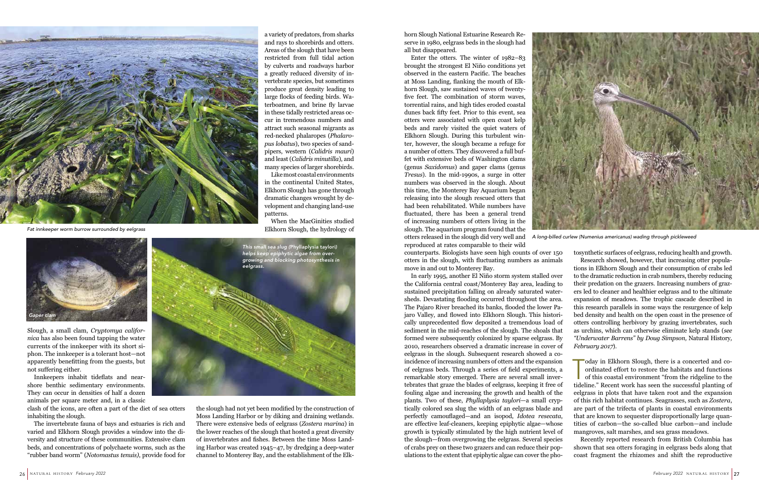horn Slough National Estuarine Research Reserve in 1980, eelgrass beds in the slough had all but disappeared.

Enter the otters. The winter of 1982–83 brought the strongest El Niño conditions yet observed in the eastern Pacific. The beaches at Moss Landing, flanking the mouth of Elkhorn Slough, saw sustained waves of twentyfive feet. The combination of storm waves, torrential rains, and high tides eroded coastal dunes back fifty feet. Prior to this event, sea otters were associated with open coast kelp beds and rarely visited the quiet waters of Elkhorn Slough. During this turbulent winter, however, the slough became a refuge for a number of otters. They discovered a full buffet with extensive beds of Washington clams (genus *Saxidomus*) and gaper clams (genus *Tresus*). In the mid-1990s, a surge in otter numbers was observed in the slough. About this time, the Monterey Bay Aquarium began releasing into the slough rescued otters that had been rehabilitated. While numbers have fluctuated, there has been a general trend of increasing numbers of otters living in the slough. The aquarium program found that the otters released in the slough did very well and *A long-billed curlew (Numenius americanus) wading through pickleweed* reproduced at rates comparable to their wild



counterparts. Biologists have seen high counts of over 150 otters in the slough, with fluctuating numbers as animals move in and out to Monterey Bay.

> oday in Elkhorn Slough, there is a concerted and coordinated effort to restore the habitats and functions of this coastal environment "from the ridgeline to the tideline." Recent weak has seen the successful planting of ordinated effort to restore the habitats and functions of this coastal environment "from the ridgeline to the tideline." Recent work has seen the successful planting of eelgrass in plots that have taken root and the expansion of this rich habitat continues. Seagrasses, such as *Zostera*, are part of the trifecta of plants in coastal environments that are known to sequester disproportionally large quantities of carbon—the so-called blue carbon—and include mangroves, salt marshes, and sea grass meadows. Recently reported research from British Columbia has

In early 1995, another El Niño storm system stalled over the California central coast/Monterey Bay area, leading to sustained precipitation falling on already saturated watersheds. Devastating flooding occurred throughout the area. The Pajaro River breached its banks, flooded the lower Pajaro Valley, and flowed into Elkhorn Slough. This historically unprecedented flow deposited a tremendous load of sediment in the mid-reaches of the slough. The shoals that formed were subsequently colonized by sparse eelgrass. By 2010, researchers observed a dramatic increase in cover of eelgrass in the slough. Subsequent research showed a coincidence of increasing numbers of otters and the expansion of eelgrass beds. Through a series of field experiments, a remarkable story emerged. There are several small invertebrates that graze the blades of eelgrass, keeping it free of fouling algae and increasing the growth and health of the plants. Two of these, *Phyllaplysia taylori*—a small cryptically colored sea slug the width of an eelgrass blade and perfectly camouflaged—and an isopod, *Idotea resecata*, are effective leaf-cleaners, keeping epiphytic algae—whose growth is typically stimulated by the high nutrient level of the slough—from overgrowing the eelgrass. Several species of crabs prey on these two grazers and can reduce their populations to the extent that epiphytic algae can cover the photosynthetic surfaces of eelgrass, reducing health and growth. Research showed, however, that increasing otter populations in Elkhorn Slough and their consumption of crabs led to the dramatic reduction in crab numbers, thereby reducing their predation on the grazers. Increasing numbers of grazers led to cleaner and healthier eelgrass and to the ultimate expansion of meadows. The trophic cascade described in this research parallels in some ways the resurgence of kelp bed density and health on the open coast in the presence of otters controlling herbivory by grazing invertebrates, such as urchins, which can otherwise eliminate kelp stands (*see "Underwater Barrens" by Doug Simpson,* Natural History*, February 2017*).

shown that sea otters foraging in eelgrass beds along that coast fragment the rhizomes and shift the reproductive

Slough, a small clam, *Cryptomya californica* has also been found tapping the water currents of the innkeeper with its short siphon. The innkeeper is a tolerant host—not apparently benefitting from the guests, but not suffering either.

Innkeepers inhabit tideflats and nearshore benthic sedimentary environments. They can occur in densities of half a dozen animals per square meter and, in a classic

clash of the icons, are often a part of the diet of sea otters inhabiting the slough.

The invertebrate fauna of bays and estuaries is rich and varied and Elkhorn Slough provides a window into the diversity and structure of these communities. Extensive clam beds, and concentrations of polychaete worms, such as the "rubber band worm" (*Notomastus tenuis)*, provide food for

a variety of predators, from sharks and rays to shorebirds and otters. Areas of the slough that have been restricted from full tidal action by culverts and roadways harbor a greatly reduced diversity of invertebrate species, but sometimes produce great density leading to large flocks of feeding birds. Waterboatmen, and brine fly larvae in these tidally restricted areas occur in tremendous numbers and attract such seasonal migrants as red-necked phalaropes (*Phalaropus lobatus*), two species of sandpipers, western (*Calidris mauri*) and least (*Calidris minutilla*), and many species of larger shorebirds.

Like most coastal environments in the continental United States, Elkhorn Slough has gone through dramatic changes wrought by development and changing land-use patterns.

When the MacGinities studied Elkhorn Slough, the hydrology of

the slough had not yet been modified by the construction of Moss Landing Harbor or by diking and draining wetlands. There were extensive beds of eelgrass (*Zostera marina*) in the lower reaches of the slough that hosted a great diversity of invertebrates and fishes. Between the time Moss Landing Harbor was created 1945–47, by dredging a deep-water channel to Monterey Bay, and the establishment of the Elk-







*Fat innkeeper worm burrow surrounded by eelgrass*